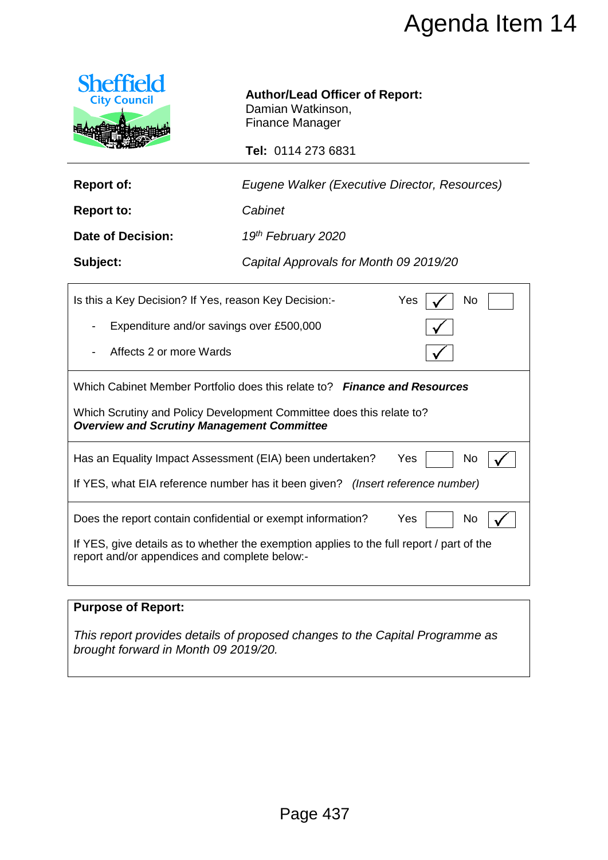

| <b>Report of:</b> | Eugene Walker (Executive Director, Resources) |  |
|-------------------|-----------------------------------------------|--|

|                                                                                                                                           | Agenda Item 14                                                                                                                                                         |  |
|-------------------------------------------------------------------------------------------------------------------------------------------|------------------------------------------------------------------------------------------------------------------------------------------------------------------------|--|
| <b>Sheffield</b><br><b>City Council</b>                                                                                                   | <b>Author/Lead Officer of Report:</b><br>Damian Watkinson,<br><b>Finance Manager</b><br>Tel: 0114 273 6831                                                             |  |
| <b>Report of:</b>                                                                                                                         | Eugene Walker (Executive Director, Resources)                                                                                                                          |  |
| <b>Report to:</b>                                                                                                                         | Cabinet                                                                                                                                                                |  |
| <b>Date of Decision:</b>                                                                                                                  | 19th February 2020                                                                                                                                                     |  |
| Subject:                                                                                                                                  | Capital Approvals for Month 09 2019/20                                                                                                                                 |  |
| No<br>Is this a Key Decision? If Yes, reason Key Decision:-<br>Yes<br>Expenditure and/or savings over £500,000<br>Affects 2 or more Wards |                                                                                                                                                                        |  |
| Which Cabinet Member Portfolio does this relate to? Finance and Resources                                                                 |                                                                                                                                                                        |  |
| <b>Overview and Scrutiny Management Committee</b>                                                                                         | Which Scrutiny and Policy Development Committee does this relate to?                                                                                                   |  |
|                                                                                                                                           | Has an Equality Impact Assessment (EIA) been undertaken?<br>Yes<br>No.<br>If YES, what EIA reference number has it been given? (Insert reference number)               |  |
| report and/or appendices and complete below:-                                                                                             | Does the report contain confidential or exempt information?<br>Yes<br>No.<br>If YES, give details as to whether the exemption applies to the full report / part of the |  |
| <b>Purpose of Report:</b>                                                                                                                 |                                                                                                                                                                        |  |
| This report provides details of proposed changes to the Capital Programme as<br>brought forward in Month 09 2019/20.                      |                                                                                                                                                                        |  |
|                                                                                                                                           |                                                                                                                                                                        |  |
|                                                                                                                                           |                                                                                                                                                                        |  |
|                                                                                                                                           |                                                                                                                                                                        |  |
|                                                                                                                                           | Page 437                                                                                                                                                               |  |

# **Purpose of Report:**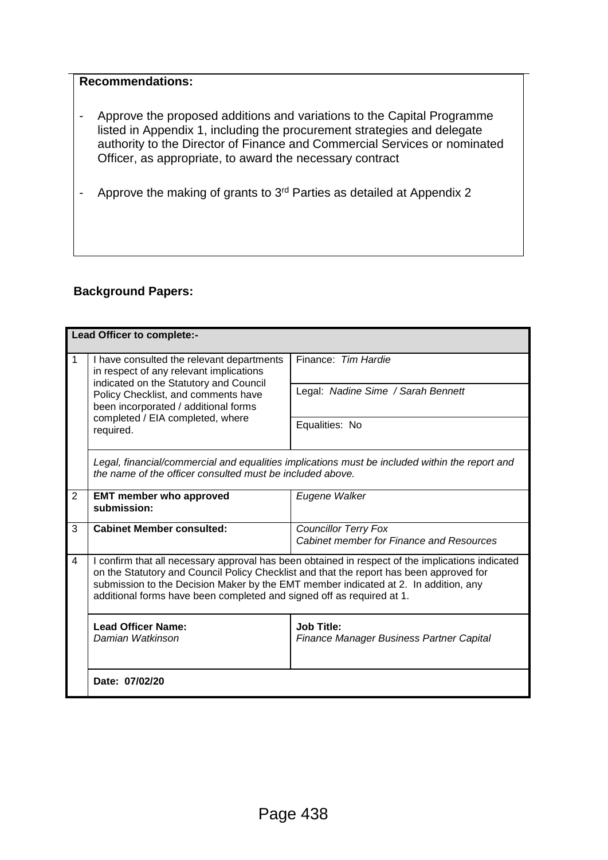#### **Recommendations:**

- Approve the proposed additions and variations to the Capital Programme listed in Appendix 1, including the procurement strategies and delegate authority to the Director of Finance and Commercial Services or nominated Officer, as appropriate, to award the necessary contract
- Approve the making of grants to 3rd Parties as detailed at Appendix 2

# **Background Papers:**

| Lead Officer to complete:- |                                                                                                                                                                                                                                                                                                                                                             |                                                                                |  |
|----------------------------|-------------------------------------------------------------------------------------------------------------------------------------------------------------------------------------------------------------------------------------------------------------------------------------------------------------------------------------------------------------|--------------------------------------------------------------------------------|--|
| $\mathbf 1$<br>required.   | I have consulted the relevant departments<br>in respect of any relevant implications<br>indicated on the Statutory and Council                                                                                                                                                                                                                              | Finance: Tim Hardie                                                            |  |
|                            | Policy Checklist, and comments have<br>been incorporated / additional forms                                                                                                                                                                                                                                                                                 | Legal: Nadine Sime / Sarah Bennett                                             |  |
|                            | completed / EIA completed, where                                                                                                                                                                                                                                                                                                                            | Equalities: No                                                                 |  |
|                            | Legal, financial/commercial and equalities implications must be included within the report and<br>the name of the officer consulted must be included above.                                                                                                                                                                                                 |                                                                                |  |
| $\overline{2}$             | <b>EMT member who approved</b><br>submission:                                                                                                                                                                                                                                                                                                               | Eugene Walker                                                                  |  |
| 3                          | <b>Cabinet Member consulted:</b>                                                                                                                                                                                                                                                                                                                            | <b>Councillor Terry Fox</b><br><b>Cabinet member for Finance and Resources</b> |  |
| $\overline{4}$             | I confirm that all necessary approval has been obtained in respect of the implications indicated<br>on the Statutory and Council Policy Checklist and that the report has been approved for<br>submission to the Decision Maker by the EMT member indicated at 2. In addition, any<br>additional forms have been completed and signed off as required at 1. |                                                                                |  |
|                            | <b>Lead Officer Name:</b><br>Damian Watkinson                                                                                                                                                                                                                                                                                                               | <b>Job Title:</b><br>Finance Manager Business Partner Capital                  |  |
|                            | Date: 07/02/20                                                                                                                                                                                                                                                                                                                                              |                                                                                |  |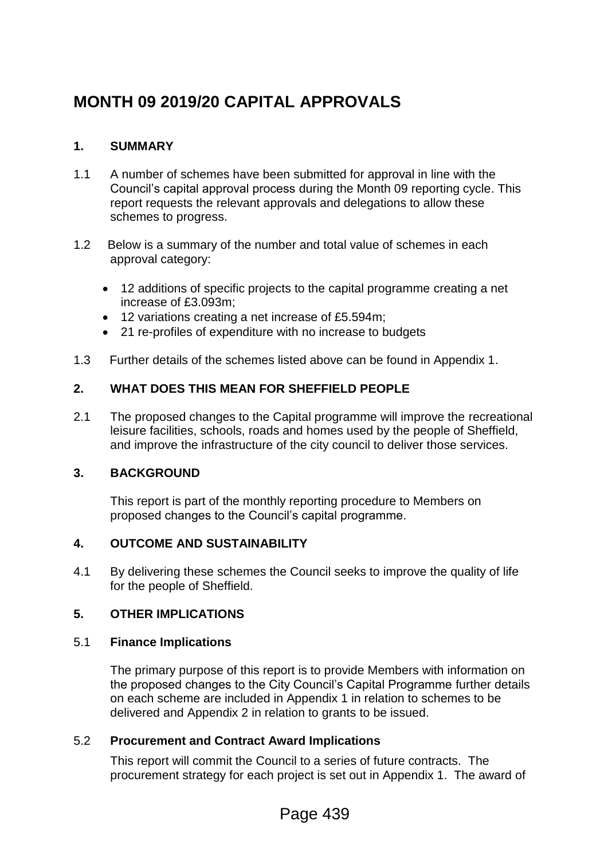# **MONTH 09 2019/20 CAPITAL APPROVALS**

# **1. SUMMARY**

- 1.1 A number of schemes have been submitted for approval in line with the Council's capital approval process during the Month 09 reporting cycle. This report requests the relevant approvals and delegations to allow these schemes to progress.
- 1.2 Below is a summary of the number and total value of schemes in each approval category:
	- 12 additions of specific projects to the capital programme creating a net increase of £3.093m;
	- 12 variations creating a net increase of £5.594m;
	- 21 re-profiles of expenditure with no increase to budgets
- 1.3 Further details of the schemes listed above can be found in Appendix 1.

# **2. WHAT DOES THIS MEAN FOR SHEFFIELD PEOPLE**

2.1 The proposed changes to the Capital programme will improve the recreational leisure facilities, schools, roads and homes used by the people of Sheffield, and improve the infrastructure of the city council to deliver those services.

# **3. BACKGROUND**

This report is part of the monthly reporting procedure to Members on proposed changes to the Council's capital programme.

# **4. OUTCOME AND SUSTAINABILITY**

4.1 By delivering these schemes the Council seeks to improve the quality of life for the people of Sheffield.

# **5. OTHER IMPLICATIONS**

#### 5.1 **Finance Implications**

The primary purpose of this report is to provide Members with information on the proposed changes to the City Council's Capital Programme further details on each scheme are included in Appendix 1 in relation to schemes to be delivered and Appendix 2 in relation to grants to be issued.

# 5.2 **Procurement and Contract Award Implications**

This report will commit the Council to a series of future contracts. The procurement strategy for each project is set out in Appendix 1. The award of